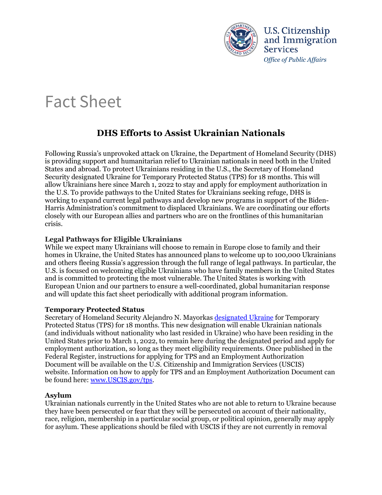

**U.S. Citizenship** and Immigration **Services** *Office of Public Affairs* 

# Fact Sheet

# **DHS Efforts to Assist Ukrainian Nationals**

 Following Russia's unprovoked attack on Ukraine, the Department of Homeland Security (DHS) closely with our European allies and partners who are on the frontlines of this humanitarian is providing support and humanitarian relief to Ukrainian nationals in need both in the United States and abroad. To protect Ukrainians residing in the U.S., the Secretary of Homeland Security designated Ukraine for Temporary Protected Status (TPS) for 18 months. This will allow Ukrainians here since March 1, 2022 to stay and apply for employment authorization in the U.S. To provide pathways to the United States for Ukrainians seeking refuge, DHS is working to expand current legal pathways and develop new programs in support of the Biden-Harris Administration's commitment to displaced Ukrainians. We are coordinating our efforts crisis.

## **Legal Pathways for Eligible Ukrainians**

 While we expect many Ukrainians will choose to remain in Europe close to family and their homes in Ukraine, the United States has announced plans to welcome up to 100,000 Ukrainians U.S. is focused on welcoming eligible Ukrainians who have family members in the United States European Union and our partners to ensure a well-coordinated, global humanitarian response and will update this fact sheet periodically with additional program information. and others fleeing Russia's aggression through the full range of legal pathways. In particular, the and is committed to protecting the most vulnerable. The United States is working with

## **Temporary Protected Status**

Secretary of Homeland Security Alejandro N. Mayorkas <u>designated Ukraine</u> for Temporary United States prior to March 1, 2022, to remain here during the designated period and apply for Protected Status (TPS) for 18 months. This new designation will enable Ukrainian nationals (and individuals without nationality who last resided in Ukraine) who have been residing in the employment authorization, so long as they meet eligibility requirements. Once published in the Federal Register, instructions for applying for TPS and an Employment Authorization Document will be available on the U.S. Citizenship and Immigration Services (USCIS) website. Information on how to apply for TPS and an Employment Authorization Document can be found here: [www.USCIS.gov/tps.](http://www.uscis.gov/tps)

## **Asylum**

 race, religion, membership in a particular social group, or political opinion, generally may apply Ukrainian nationals currently in the United States who are not able to return to Ukraine because they have been persecuted or fear that they will be persecuted on account of their nationality, for asylum. These applications should be filed with USCIS if they are not currently in removal